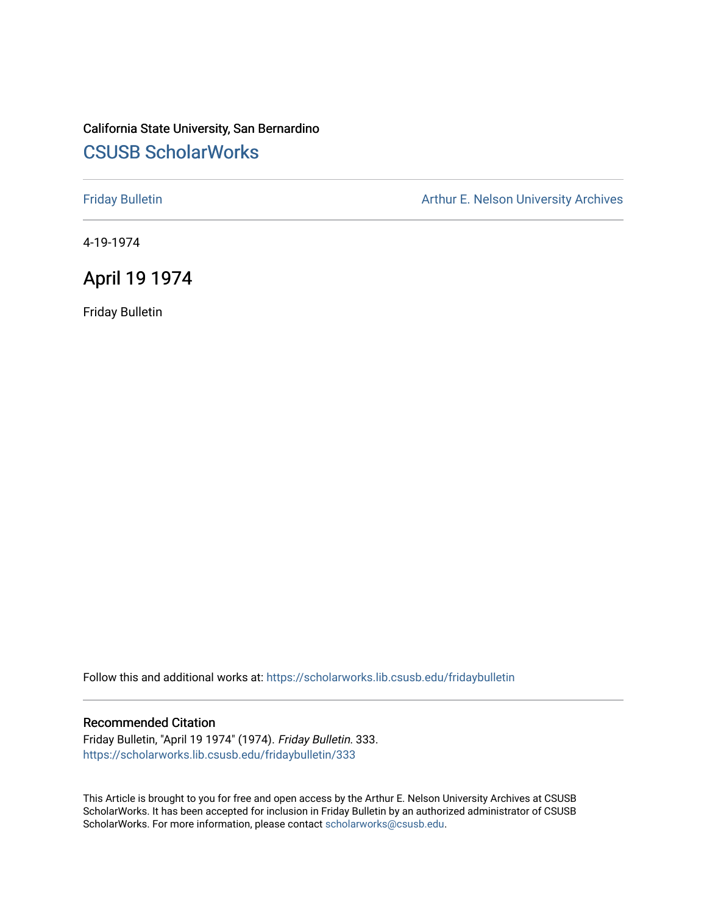# California State University, San Bernardino [CSUSB ScholarWorks](https://scholarworks.lib.csusb.edu/)

[Friday Bulletin](https://scholarworks.lib.csusb.edu/fridaybulletin) **Arthur E. Nelson University Archives** Arthur E. Nelson University Archives

4-19-1974

## April 19 1974

Friday Bulletin

Follow this and additional works at: [https://scholarworks.lib.csusb.edu/fridaybulletin](https://scholarworks.lib.csusb.edu/fridaybulletin?utm_source=scholarworks.lib.csusb.edu%2Ffridaybulletin%2F333&utm_medium=PDF&utm_campaign=PDFCoverPages)

## Recommended Citation

Friday Bulletin, "April 19 1974" (1974). Friday Bulletin. 333. [https://scholarworks.lib.csusb.edu/fridaybulletin/333](https://scholarworks.lib.csusb.edu/fridaybulletin/333?utm_source=scholarworks.lib.csusb.edu%2Ffridaybulletin%2F333&utm_medium=PDF&utm_campaign=PDFCoverPages)

This Article is brought to you for free and open access by the Arthur E. Nelson University Archives at CSUSB ScholarWorks. It has been accepted for inclusion in Friday Bulletin by an authorized administrator of CSUSB ScholarWorks. For more information, please contact [scholarworks@csusb.edu.](mailto:scholarworks@csusb.edu)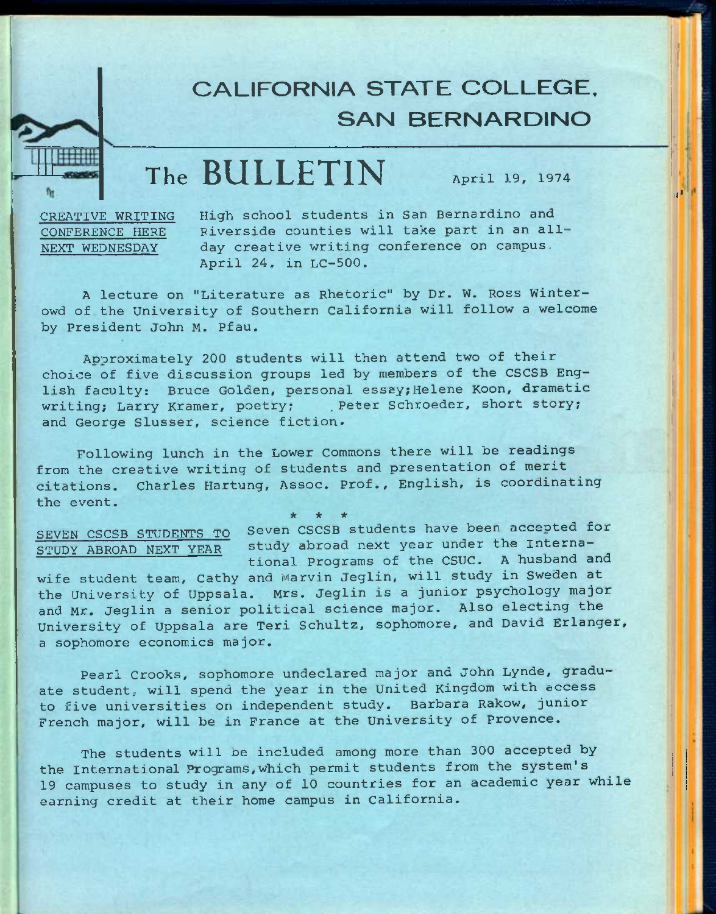# **CALIFORNIA STATE COLLEGE. SAN BERNARDINO**

# **The BULLETIN** April 19, 1974

iji'

CREATIVE WRITING CONFERENCE HERE NEXT WEDNESDAY

High school students in San Bernardino and Riverside counties will take part in an allday creative writing conference on campus, April 24, in LC-500.

A lecture on "Literature as Rhetoric" by Dr. W. Ross Winterowd of the University of Southern California will follow a welcome by President John M. Pfau.

Approximately 200 students will then attend two of their choice of five discussion groups led by members of the CSCSB English faculty: Bruce Golden, personal essay; Helene Koon, dramatic writing; Larry Kramer, poetry; . Peter Schroeder, short story; and George Slusser, science fiction.

Following lunch in the Lower Commons there will be readings from the creative writing of students and presentation of merit citations. Charles Hartung, Assoc. Prof., English, is coordinating the event.

**\* \* •\*** 

SEVEN CSCSB STUDENTS TO Seven CSCSB students have been accepted for SEVEN CSCSB STUDENTS TO Seven CSCSB students have been accepted in<br>STUDY ABROAD NEXT YEAR study abroad next year under the International Programs of the CSUC. A husband and

wife student team, Cathy and Marvin Jeglin, will study in Sweden at the University of Uppsala. Mrs, Jeglin is a junior psychology major and Mr. Jeglin a senior political science major. Also electing the University of Uppsala are Teri Schultz, sophomore, and David Erlanger, a sophomore economics major.

Pearl Crooks, sophomore undeclared major and John Lynde, graduate student, will spend the year in the United Kingdom with access to five universities on independent study, Barbara Rakow, junior French major, will be in France at the University of Provence.

The students will be included among more than 300 accepted by the international Programs,which permit students from the system's 19 campuses to study in any of 10 countries for an academic year while earning credit at their home campus in California.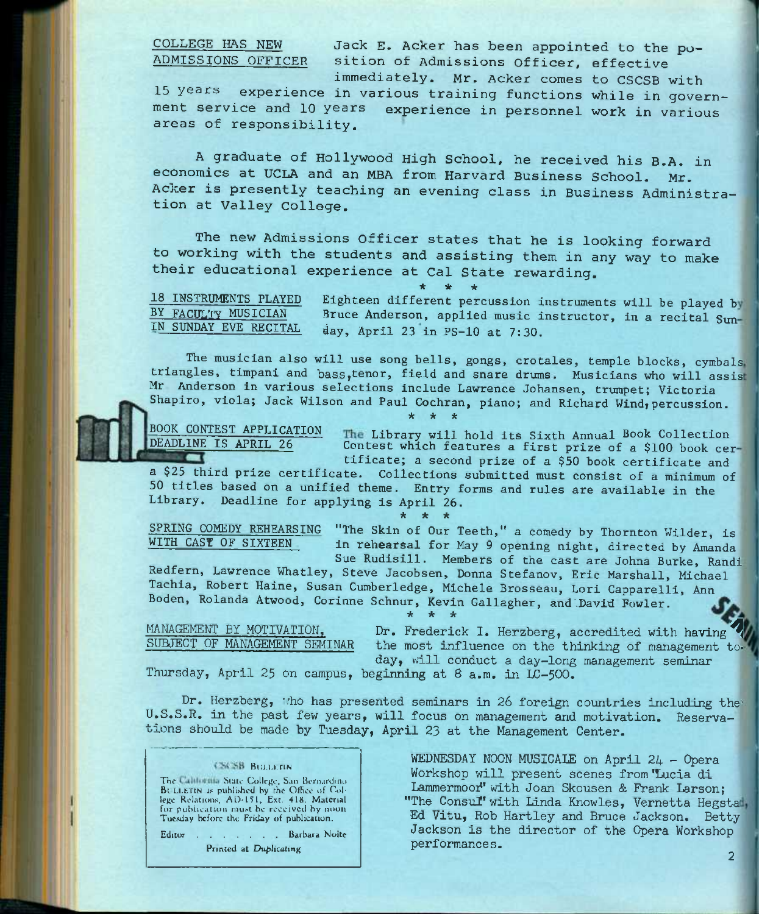COLLEGE HAS NEW Jack E. Acker has been appointed to the po-<br>ADMISSIONS OFFICER sition of Admissions Officer, effective sition of Admissions Officer, effective

immediately. Mr, Acker comes to CSCSB with 15 years experience in various training functions while in government service and 10 years experience in personnel work in various areas of responsibility.

A graduate of Hollywood High School, he received his B.A. in economics at UCLA and an MBA from Harvard Business School. Mr. Acker is presently teaching an evening class in Business Administration at Valley College.

The new Admissions Officer states that he is looking forward to working with the students and assisting them in any way to make their educational experience at Cal State rewarding.

**\* \* \***  18 INSTRUMENTS PLAYED Eighteen different percussion instruments will be played b BY FACUL'TY MUSICIAN Bruce Anderson, applied music instructor, in a recital Sun-<br>IN SUNDAY EVE RECITAL day April 23 in PS-10 at 7:30  $day$ , April 23 in PS-10 at 7:30.

The musician also will use song bells, gongs, crotales, temple blocks, cymbals triangles, timpani and bass,tenor, field and snare drums. Musicians who will assis Mr Anderson in various selections include Lawrence Johansen, trumpet; Victoria Shapiro, viola; Jack Wilson and Paul Cochran, piano; and Richard Wind, percussion.

*\* -k \** 



DEADLINE IS APRIL 26

BOOK CONTEST APPLICATION The Library will hold its Sixth Annual Book Collection Contest which features a first prize of a \$100 book cer

 $\overline{\phantom{a}}$ tificate; a second prize of a \$50 book certificate and a \$25 third prize certificate. Collections submitted must consist of a minimum of 50 titles based on a unified theme. Entry forms and rules are available in the Library, Deadline for applying is April 26.

**\* \* \*** 

SPRING COMEDY REHEARSING "The Skin of Our Teeth," a comedy by Thornton Wilder, is<br>WITH CAST OF SIXTEEN in rehearsal for May 9 opening night, directed by Amanda in rehearsal for May 9 opening night, directed by Amanda Sue Rudisill. Members of the cast are Johna Burke, Randi Redfern, Lawrence Whatley, Steve Jacobsen, Donna Stefanov, Eric Marshall, Michael

Tachia, Robert Haine, Susan Cumberledge, Michele Brosseau, Lori Capparelli, Ann Boden, Rolanda Atwood, Corinne Schnur, Kevin Gallagher, and'.David Fowler. **\* \* \*** 

MANAGEMENT BY MOTIVATION, Dr. Frederick I. Herzberg, accredited with having<br>SUBJECT OF MANAGEMENT SEMINAR the most influence on the thinking of management t the most influence on the thinking of management today, uill conduct a day-long management seminar

Thursday, April 25 on campus, beginning at 8 a.m. in LC-500.

Dr. Herzberg, tho has presented seminars in 26 foreign countries including the U.S.S.R. in the past few years, will focus on management and motivation. Reservations should be made by Tuesday, April 23 at the Management Center.

### **CSCSB** BULLERN

The California State College, San Bernardino **BULLETIN IS published by the Office of Collage Relations, AD-151, Ext. 418. Material for publication must be received by noon Tuesday before the Friday of publication.** 

Editor . . . . . . Barbara Noite **Printed at Duplicating** 

WEDNESDAY NOON MUSICALE on April 24 - Opera Workshop will present scenes from 'Lucia di Lammermoor" with Joan Skousen & Frank Larson: "The Consul" with Linda Knowles, Vernetta Hegstad, Ed Vitu, Rob Hartley and Bruce Jackson. Betty Jackson is the director of the Opera Workshop performances.

**2**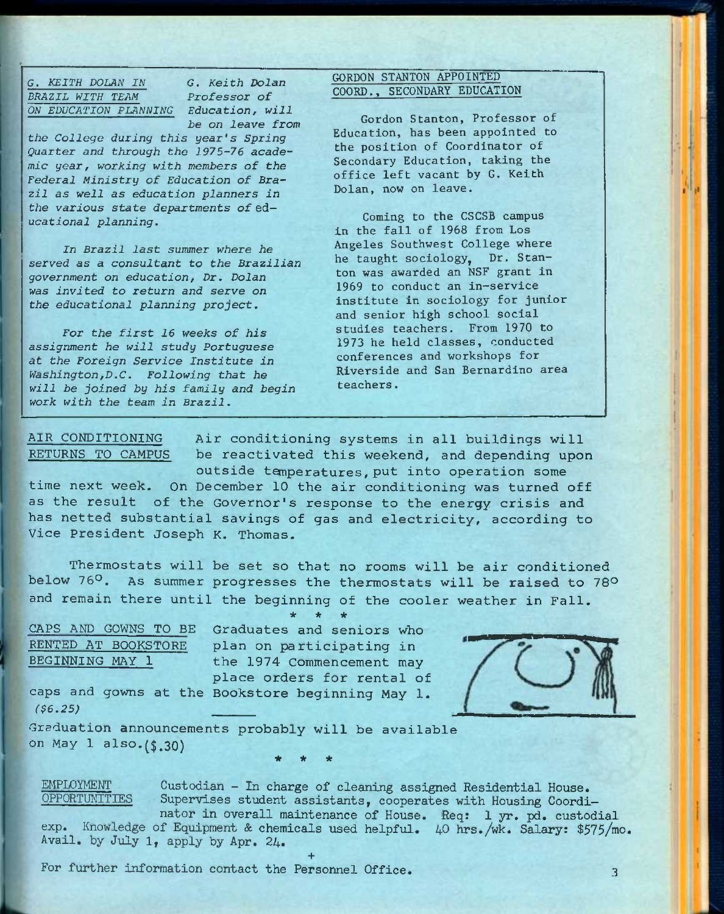G. *KEITH DOLAN IN G. Keith Dolan BRAZIL WITH TEAM Professor of ON EDUCATION PLANNING Education, will* 

*be on leave from* 

*the College during this year's Spring Quarter and through the 1975-76 academic year, working with members of the Federal Ministry of Education of Brazil as well as education planners in the various state departments of* ed*ucational planning.* 

*In Brazil last summer where he served as a consultant to the Brazilian government on education. Dr. Dolan was invited to return and serve on the educational planning project.* 

*For the first 16 weeks of his assignment he will study Portuguese at the Foreign Service Institute in Washington,D.C. Following that he will be joined by his family and begin work with the team in Brazil.* 

## GORDON STANTON APPOINTED COORD., SECONDARY EDUCATION

Gordon Stanton, Professor of Education, has been appointed to the position of Coordinator of Secondary Education, taking the office left vacant by G. Keith Dolan, now on leave.

Coming to the CSCSB campus in the fall of 1968 from Los Angeles Southwest College where he taught sociology, Dr. Stanton was awarded an NSF grant in 1969 to conduct an in-service institute in sociology for junior and senior high school social studies teachers. From 1970 to 1973 he held classes, conducted conferences and workshops for Riverside and San Bernardino area teachers.

AIR CONDITIONING Air conditioning systems in all buildings will RETURNS TO CAMPUS be reactivated this weekend, and depending upon outside temperatures, put into operation some

time next week. On December 10 the air conditioning was turned off as the result of the Governor's response to the energy crisis and has netted substantial savings of gas and electricity, according to Vice President Joseph K, Thomas.

Thermostats will be set so that no rooms will be air conditioned below 76°. As summer progresses the thermostats will be raised to 78° and remain there until the beginning of the cooler weather in Fall.

**\* \* \*** 

CAPS AND GOWNS TO BE Graduates and seniors who RENTED AT BOOKSTORE plan on participating in BEGINNING MAY 1 the 1974 Commencement may place orders for rental of



caps and gowns at the Bookstore beginning May 1. *(\$6.25)* 

Graduation announcements probably will be available on May 1 also.(\$.30) \* \* \*

EMPIOYMENT Custodian - In charge of cleaning assigned Residential House.<br>OPPORTUNITIES Supervises student assistants, cooperates with Housing Coordi Supervises student assistants, cooperates with Housing Coordinator in overall maintenance of House. Req: 1 yr. pd. custodial

exp. Knowledge of Equipment & chemicals used helpful. 40 hrs./wk. Salary: \$575/mo. Avail, by July 1, apply by Apr. 24.

**+** 

For further information contact the Personnel Office. 3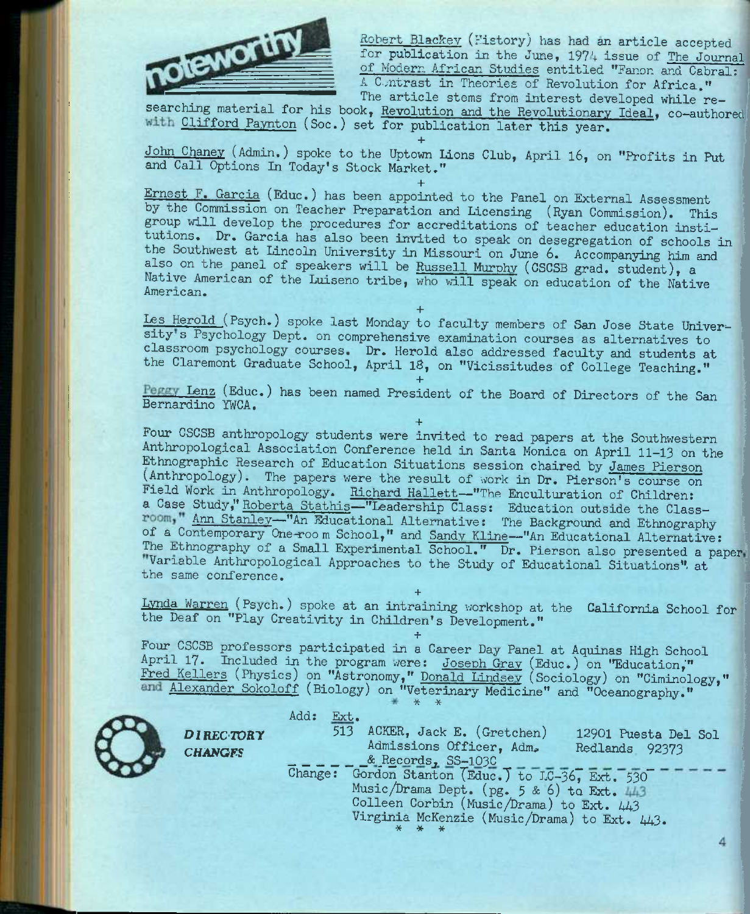

Robert Blackey (History) has had an article accepted for publication in the June, 1974 issue of The Journal of Modern African Studies entitled "Fanon and Cabral; A Contrast in Theories of Revolution for Africa." The article stems from interest developed while re-

searching material for his book, Revolution and the Revolutionary Ideal, co-authored with Clifford Paynton (Soc.) set for publication later this year.

**+**  John Chaney (Admin.) spoke to the Uptown lions Club, April l6, on "Profits in Put and Call Options In Today's Stock Market."

**+**  Ernest F. Garcia (Educ.) has been appointed to the Panel on External Assessment by the Commission on Teacher Preparation and Licensing (Ryan Commission). This group will develop the procedures for accreditations of teacher education institutions. Dr. Garcia has also been invited to speak on desegregation of schools in the Southwest at Lincoln University in Missouri on June 6. Accompanying him and also on the panel of speakers will be Russell Murphy (CSCSB grad. student), a Native American of the Luiseno tribe, who will speak on education of the Native American.

**+**  Les Herold (Psych.) spoke last Monday to faculty members of San Jose State University's Psychology Dept. on comprehensive examination courses as alternatives to classroom psychology courses. Dr. Herold also addressed faculty and students at the Claremont Graduate School, April 18, on "Vicissitudes of College Teaching."

**+**  Lenz (Educ.) has been named President of the Board of Directors of the San Bernardino YWCA,

**+**  Four CSCSB anthropology students were invited to read papers at the Southwestern Anthropological Association Conference held in Santa Monica on April 11-13 on the Ethnographic Research of Education Situations session chaired by James Pierson (Anthropology). The papers were the result of work in Dr. Pierson's course on Field Work in Anthropology. Richard Hallett-"The Enculturation of Children: a Case Study," Roberta Stathis—"Leadership Class: Education outside the Class room," Ann Stanley—"An Educational Alternative: The Background and Ethnography of a Contemporary One-room School," and Sandy Kline<sup>---"</sup>An Educational Alternative: The Ethnography of a Small Experimental School." Dr. Pierson also presented a paper. Variable Anthropological Approaches to the Study of Educational Situations", at the same conference.

Lynda Warren (Psych.) spoke at an intraining workshop at the California School for the Deaf on "Play Creativity in Children's Development."

**+** 

**+**  Four CSCSB professors participated in a Career Day Panel at Aquinas High School April 17. Included in the program were: Joseph Gray (Educ.) on "Education," Fred Kellers (Physics) on "Astronomy," Donald Lindsev (Sociology) on "Ciminology," Alexander Sokoloff (Biology) on "Veterinary Medicine" and "Oceanography."



|                                    | Add:<br>$\operatorname{Ext}_\bullet$                                                                                                                                                                                                                                                                                       |
|------------------------------------|----------------------------------------------------------------------------------------------------------------------------------------------------------------------------------------------------------------------------------------------------------------------------------------------------------------------------|
| <b>DIRECTORY</b><br><b>CHANGES</b> | 513<br>ACKER, Jack E. (Gretchen)<br>12901 Puesta Del Sol<br>Admissions Officer, Adm.<br>Redlands 92373<br>& Records, SS-103C<br>Change: Gordon Stanton (Educ.) to LC-36, Ext. 530<br>Music/Drama Dept. (pg. 5 & 6) to Ext. 443<br>Colleen Corbin (Music/Drama) to Ext. 443<br>Virginia McKenzie (Music/Drama) to Ext. 443. |
|                                    |                                                                                                                                                                                                                                                                                                                            |